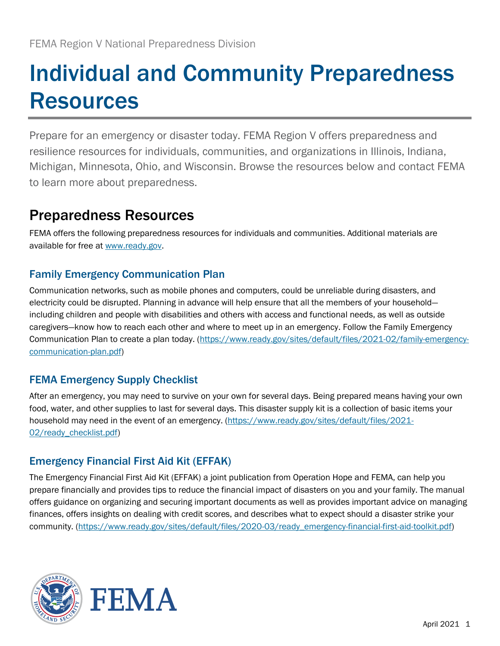# Individual and Community Preparedness **Resources**

Prepare for an emergency or disaster today. FEMA Region V offers preparedness and resilience resources for individuals, communities, and organizations in Illinois, Indiana, Michigan, Minnesota, Ohio, and Wisconsin. Browse the resources below and contact FEMA to learn more about preparedness.

# Preparedness Resources

FEMA offers the following preparedness resources for individuals and communities. Additional materials are available for free at [www.ready.gov.](http://www.ready.gov/)

#### Family Emergency Communication Plan

Communication networks, such as mobile phones and computers, could be unreliable during disasters, and electricity could be disrupted. Planning in advance will help ensure that all the members of your household including children and people with disabilities and others with access and functional needs, as well as outside caregivers—know how to reach each other and where to meet up in an emergency. Follow the Family Emergency Communication Plan to create a plan today. [\(https://www.ready.gov/sites/default/files/2021-02/family-emergency](https://www.ready.gov/sites/default/files/2021-02/family-emergency-communication-plan.pdf)[communication-plan.pdf\)](https://www.ready.gov/sites/default/files/2021-02/family-emergency-communication-plan.pdf)

## FEMA Emergency Supply Checklist

After an emergency, you may need to survive on your own for several days. Being prepared means having your own food, water, and other supplies to last for several days. This disaster supply kit is a collection of basic items your household may need in the event of an emergency. [\(https://www.ready.gov/sites/default/files/2021-](https://www.ready.gov/sites/default/files/2021-02/ready_checklist.pdf) [02/ready\\_checklist.pdf\)](https://www.ready.gov/sites/default/files/2021-02/ready_checklist.pdf)

## Emergency Financial First Aid Kit (EFFAK)

The Emergency Financial First Aid Kit (EFFAK) a joint publication from Operation Hope and FEMA, can help you prepare financially and provides tips to reduce the financial impact of disasters on you and your family. The manual offers guidance on organizing and securing important documents as well as provides important advice on managing finances, offers insights on dealing with credit scores, and describes what to expect should a disaster strike your community. [\(https://www.ready.gov/sites/default/files/2020-03/ready\\_emergency-financial-first-aid-toolkit.pdf\)](https://www.ready.gov/sites/default/files/2020-03/ready_emergency-financial-first-aid-toolkit.pdf)

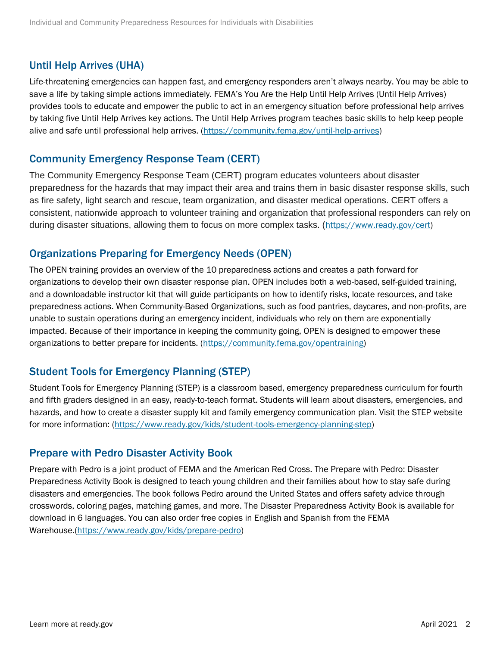#### Until Help Arrives (UHA)

Life-threatening emergencies can happen fast, and emergency responders aren't always nearby. You may be able to save a life by taking simple actions immediately. FEMA's You Are the Help Until Help Arrives (Until Help Arrives) provides tools to educate and empower the public to act in an emergency situation before professional help arrives by taking five Until Help Arrives key actions. The Until Help Arrives program teaches basic skills to help keep people alive and safe until professional help arrives. [\(https://community.fema.gov/until-help-arrives\)](https://community.fema.gov/until-help-arrives)

#### Community Emergency Response Team (CERT)

The Community Emergency Response Team (CERT) program educates volunteers about disaster preparedness for the hazards that may impact their area and trains them in basic disaster response skills, such as fire safety, light search and rescue, team organization, and disaster medical operations. CERT offers a consistent, nationwide approach to volunteer training and organization that professional responders can rely on during disaster situations, allowing them to focus on more complex tasks. ([https://www.ready.gov/cert\)](https://www.ready.gov/cert)

#### Organizations Preparing for Emergency Needs (OPEN)

The OPEN training provides an overview of the 10 preparedness actions and creates a path forward for organizations to develop their own disaster response plan. OPEN includes both a web-based, self-guided training, and a downloadable instructor kit that will guide participants on how to identify risks, locate resources, and take preparedness actions. When Community-Based Organizations, such as food pantries, daycares, and non-profits, are unable to sustain operations during an emergency incident, individuals who rely on them are exponentially impacted. Because of their importance in keeping the community going, OPEN is designed to empower these organizations to better prepare for incidents. [\(https://community.fema.gov/opentraining\)](https://community.fema.gov/opentraining)

#### Student Tools for Emergency Planning (STEP)

Student Tools for Emergency Planning (STEP) is a classroom based, emergency preparedness curriculum for fourth and fifth graders designed in an easy, ready-to-teach format. Students will learn about disasters, emergencies, and hazards, and how to create a disaster supply kit and family emergency communication plan. Visit the STEP website for more information: [\(https://www.ready.gov/kids/student-tools-emergency-planning-step\)](https://www.ready.gov/kids/student-tools-emergency-planning-step)

#### Prepare with Pedro Disaster Activity Book

Prepare with Pedro is a joint product of FEMA and the American Red Cross. The Prepare with Pedro: Disaster Preparedness Activity Book is designed to teach young children and their families about how to stay safe during disasters and emergencies. The book follows Pedro around the United States and offers safety advice through crosswords, coloring pages, matching games, and more. The Disaster Preparedness Activity Book is available for download in 6 languages. You can also order free copies in English and Spanish from the FEMA Warehouse.[\(https://www.ready.gov/kids/prepare-pedro\)](https://www.ready.gov/kids/prepare-pedro)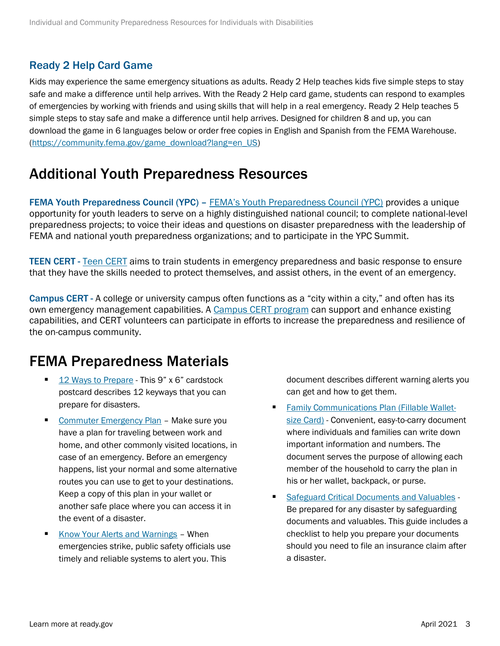#### Ready 2 Help Card Game

Kids may experience the same emergency situations as adults. Ready 2 Help teaches kids five simple steps to stay safe and make a difference until help arrives. With the Ready 2 Help card game, students can respond to examples of emergencies by working with friends and using skills that will help in a real emergency. Ready 2 Help teaches 5 simple steps to stay safe and make a difference until help arrives. Designed for children 8 and up, you can download the game in 6 languages below or order free copies in English and Spanish from the FEMA Warehouse. [\(https://community.fema.gov/game\\_download?lang=en\\_US\)](https://community.fema.gov/game_download?lang=en_US)

## Additional Youth Preparedness Resources

FEMA Youth Preparedness Council (YPC) – FEMA's [Youth Preparedness Council \(YPC\)](https://www.ready.gov/kids/youth-preparedness-council) provides a unique opportunity for youth leaders to serve on a highly distinguished national council; to complete national-level preparedness projects; to voice their ideas and questions on disaster preparedness with the leadership of FEMA and national youth preparedness organizations; and to participate in the YPC Summit.

TEEN CERT - [Teen CERT](https://www.ready.gov/kids/teen-cert) aims to train students in emergency preparedness and basic response to ensure that they have the skills needed to protect themselves, and assist others, in the event of an emergency.

Campus CERT - A college or university campus often functions as a "city within a city," and often has its own emergency management capabilities. A [Campus CERT program](https://www.ready.gov/cert) can support and enhance existing capabilities, and CERT volunteers can participate in efforts to increase the preparedness and resilience of the on-campus community.

## FEMA Preparedness Materials

- [12 Ways to Prepare](https://www.ready.gov/sites/default/files/2020-11/ready_12-ways-to-prepare_postcard.pdf) This 9" x 6" cardstock postcard describes 12 keyways that you can prepare for disasters.
- [Commuter Emergency Plan](https://www.ready.gov/sites/default/files/2020-03/commuter_emergency_plan.pdf) Make sure you have a plan for traveling between work and home, and other commonly visited locations, in case of an emergency. Before an emergency happens, list your normal and some alternative routes you can use to get to your destinations. Keep a copy of this plan in your wallet or another safe place where you can access it in the event of a disaster.
- [Know Your Alerts and Warnings](https://www.ready.gov/sites/default/files/2020-03/ready_know-your-alerts-and-warnings.pdf) When emergencies strike, public safety officials use timely and reliable systems to alert you. This

document describes different warning alerts you can get and how to get them.

- **Eamily Communications Plan (Fillable Wallet**[size Card\)](https://www.ready.gov/sites/default/files/2020-03/family-communication-plan_fillable-card.pdf) - Convenient, easy-to-carry document where individuals and families can write down important information and numbers. The document serves the purpose of allowing each member of the household to carry the plan in his or her wallet, backpack, or purse.
- [Safeguard Critical Documents and Valuables](https://www.ready.gov/sites/default/files/2020-03/fema_safeguard-critical-documents-and-valuables.pdf) Be prepared for any disaster by safeguarding documents and valuables. This guide includes a checklist to help you prepare your documents should you need to file an insurance claim after a disaster.